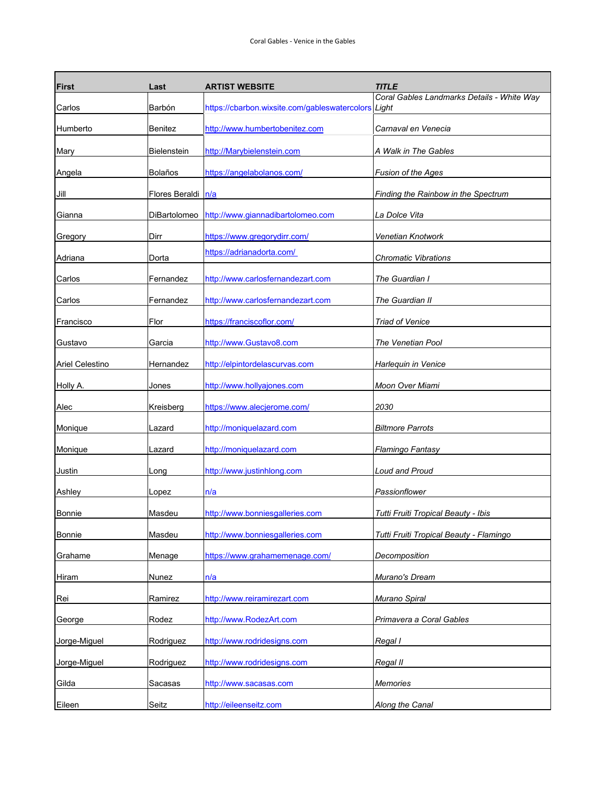| <b>First</b>    | Last               | <b>ARTIST WEBSITE</b>                               | <i><b>TITLE</b></i>                        |
|-----------------|--------------------|-----------------------------------------------------|--------------------------------------------|
| Carlos          | Barbón             | https://cbarbon.wixsite.com/gableswatercolors Light | Coral Gables Landmarks Details - White Way |
| Humberto        | <b>Benitez</b>     | http://www.humbertobenitez.com                      | Carnaval en Venecia                        |
| Mary            | <b>Bielenstein</b> | http://Marybielenstein.com                          | A Walk in The Gables                       |
| Angela          | Bolaños            | https://angelabolanos.com/                          | Fusion of the Ages                         |
| Jill            | Flores Beraldi     | n/a                                                 | Finding the Rainbow in the Spectrum        |
| Gianna          | DiBartolomeo       | http://www.giannadibartolomeo.com                   | La Dolce Vita                              |
| Gregory         | Dirr               | https://www.gregorydirr.com/                        | Venetian Knotwork                          |
| Adriana         | Dorta              | https://adrianadorta.com/                           | <b>Chromatic Vibrations</b>                |
| Carlos          | Fernandez          | http://www.carlosfernandezart.com                   | The Guardian I                             |
| Carlos          | Fernandez          | http://www.carlosfernandezart.com                   | The Guardian II                            |
| Francisco       | Flor               | https://franciscoflor.com/                          | <b>Triad of Venice</b>                     |
| Gustavo         | Garcia             | http://www.Gustavo8.com                             | The Venetian Pool                          |
| Ariel Celestino | Hernandez          | http://elpintordelascurvas.com                      | Harlequin in Venice                        |
| Holly A.        | Jones              | http://www.hollyajones.com                          | Moon Over Miami                            |
| Alec            | Kreisberg          | https://www.alecjerome.com/                         | 2030                                       |
| Monique         | Lazard             | http://moniquelazard.com                            | <b>Biltmore Parrots</b>                    |
|                 |                    |                                                     |                                            |
| Monique         | Lazard             | http://moniquelazard.com                            | Flamingo Fantasy                           |
| Justin          | Long               | http://www.justinhlong.com                          | Loud and Proud                             |
| Ashley          | Lopez              | n/a                                                 | Passionflower                              |
| <b>Bonnie</b>   | Masdeu             | http://www.bonniesgalleries.com                     | Tutti Fruiti Tropical Beauty - Ibis        |
| <b>Bonnie</b>   | Masdeu             | http://www.bonniesgalleries.com                     | Tutti Fruiti Tropical Beauty - Flamingo    |
| Grahame         | Menage             | https://www.grahamemenage.com/                      | Decomposition                              |
| Hiram           | Nunez              | n/a                                                 | Murano's Dream                             |
| Rei             | Ramirez            | http://www.reiramirezart.com                        | Murano Spiral                              |
| George          | Rodez              | http://www.RodezArt.com                             | Primavera a Coral Gables                   |
| Jorge-Miguel    | Rodriguez          | http://www.rodridesigns.com                         | Regal I                                    |
| Jorge-Miguel    | Rodriguez          | http://www.rodridesigns.com                         | Regal II                                   |
| Gilda           | Sacasas            | http://www.sacasas.com                              | <b>Memories</b>                            |
| Eileen          | Seitz              | http://eileenseitz.com                              | <b>Along the Canal</b>                     |